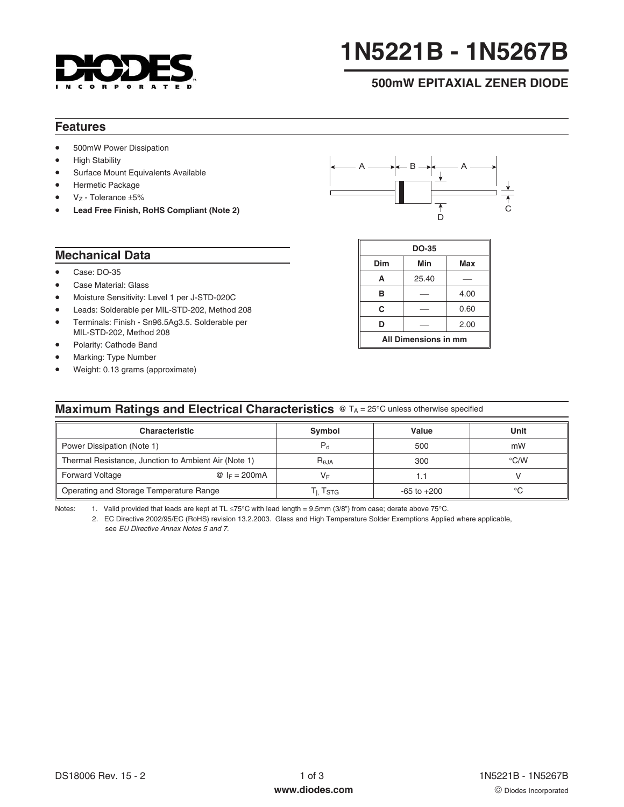

# **1N5221B - 1N5267B**

# **500mW EPITAXIAL ZENER DIODE**

## **Features**

- 500mW Power Dissipation
- **High Stability**
- Surface Mount Equivalents Available
- Hermetic Package
- $V_Z$  Tolerance  $±5%$
- # **Lead Free Finish, RoHS Compliant (Note 2)**



#### **Mechanical Data**

- Case: DO-35
- Case Material: Glass
- Moisture Sensitivity: Level 1 per J-STD-020C
- Leads: Solderable per MIL-STD-202, Method 208
- Terminals: Finish Sn96.5Ag3.5. Solderable per MIL-STD-202, Method 208
- Polarity: Cathode Band
- Marking: Type Number
- Weight: 0.13 grams (approximate)

| DO-35                |       |      |  |  |  |
|----------------------|-------|------|--|--|--|
| Dim                  | Min   | Max  |  |  |  |
| A                    | 25.40 |      |  |  |  |
| в                    |       | 4.00 |  |  |  |
| C                    |       | 0.60 |  |  |  |
| D                    |       | 2.00 |  |  |  |
| All Dimensions in mm |       |      |  |  |  |

## **Maximum Ratings and Electrical Characteristics** @ TA = 25°C unless otherwise specified

| <b>Characteristic</b>                                | Symbol               | Value           | Unit               |
|------------------------------------------------------|----------------------|-----------------|--------------------|
| Power Dissipation (Note 1)                           | $P_{\rm d}$          | 500             | mW                 |
| Thermal Resistance, Junction to Ambient Air (Note 1) | $R_{0,JA}$           | 300             | $\rm ^{\circ}$ C/W |
| <b>Forward Voltage</b><br>@ $I_F = 200 \text{mA}$    | V⊧                   |                 |                    |
| Operating and Storage Temperature Range              | Г <sub>і.</sub> Тѕтс | $-65$ to $+200$ | °C                 |

Notes: 1. Valid provided that leads are kept at TL  $\leq 75^{\circ}$ C with lead length = 9.5mm (3/8") from case; derate above 75 $^{\circ}$ C.

2. EC Directive 2002/95/EC (RoHS) revision 13.2.2003. Glass and High Temperature Solder Exemptions Applied where applicable, see [EU Directive Annex Notes 5 and 7.](http://europa.eu.int/eur-lex/pri/en/oj/dat/2003/l_037/l_03720030213en00190023.pdf)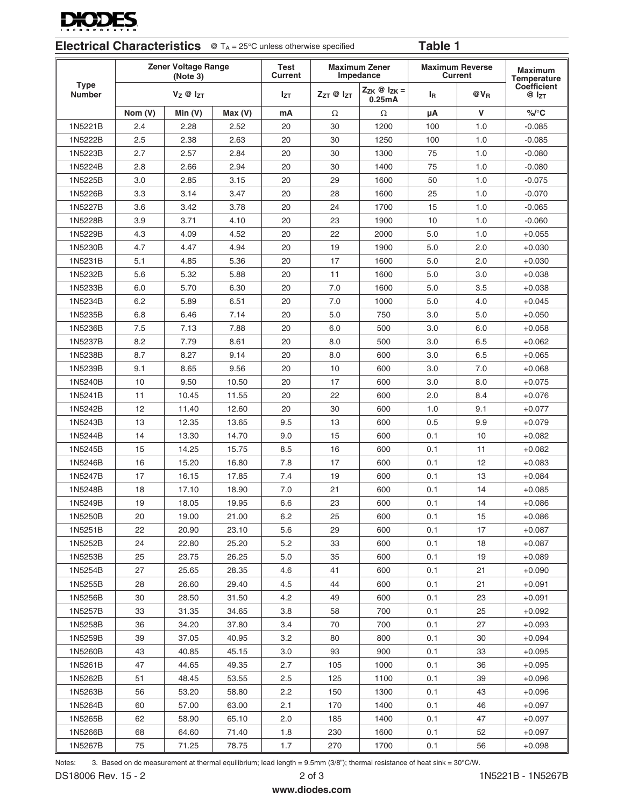

| <b>Electrical Characteristics</b> $\circledcirc$ T <sub>A</sub> = 25 $\circ$ C unless otherwise specified |  | Table 1 |
|-----------------------------------------------------------------------------------------------------------|--|---------|
|-----------------------------------------------------------------------------------------------------------|--|---------|

|                              | <b>Zener Voltage Range</b><br>(Note 3) |                      | Test<br><b>Current</b> | <b>Maximum Zener</b><br>Impedance | <b>Maximum Reverse</b><br><b>Current</b> |                                     | <b>Maximum</b><br>Temperature |          |                          |
|------------------------------|----------------------------------------|----------------------|------------------------|-----------------------------------|------------------------------------------|-------------------------------------|-------------------------------|----------|--------------------------|
| <b>Type</b><br><b>Number</b> |                                        | $V_Z \otimes I_{ZT}$ |                        | <b>Izt</b>                        | $Z_{ZT}$ @ $I_{ZT}$                      | $Z_{ZK} \otimes I_{ZK} =$<br>0.25mA | l <sub>R</sub>                | $@V_{B}$ | Coefficient<br>$@I_{ZT}$ |
|                              | Nom (V)                                | Min(V)               | Max(V)                 | mA                                | Ω                                        | Ω                                   | μA                            | V        | %/°C                     |
| 1N5221B                      | 2.4                                    | 2.28                 | 2.52                   | 20                                | 30                                       | 1200                                | 100                           | 1.0      | $-0.085$                 |
| 1N5222B                      | 2.5                                    | 2.38                 | 2.63                   | 20                                | 30                                       | 1250                                | 100                           | 1.0      | $-0.085$                 |
| 1N5223B                      | 2.7                                    | 2.57                 | 2.84                   | 20                                | 30                                       | 1300                                | 75                            | 1.0      | $-0.080$                 |
| 1N5224B                      | 2.8                                    | 2.66                 | 2.94                   | 20                                | 30                                       | 1400                                | 75                            | 1.0      | $-0.080$                 |
| 1N5225B                      | 3.0                                    | 2.85                 | 3.15                   | 20                                | 29                                       | 1600                                | 50                            | 1.0      | $-0.075$                 |
| 1N5226B                      | 3.3                                    | 3.14                 | 3.47                   | 20                                | 28                                       | 1600                                | 25                            | 1.0      | $-0.070$                 |
| 1N5227B                      | 3.6                                    | 3.42                 | 3.78                   | 20                                | 24                                       | 1700                                | 15                            | 1.0      | $-0.065$                 |
| 1N5228B                      | 3.9                                    | 3.71                 | 4.10                   | 20                                | 23                                       | 1900                                | 10                            | 1.0      | $-0.060$                 |
| 1N5229B                      | 4.3                                    | 4.09                 | 4.52                   | 20                                | 22                                       | 2000                                | 5.0                           | 1.0      | $+0.055$                 |
| 1N5230B                      | 4.7                                    | 4.47                 | 4.94                   | 20                                | 19                                       | 1900                                | 5.0                           | 2.0      | $+0.030$                 |
| 1N5231B                      | 5.1                                    | 4.85                 | 5.36                   | 20                                | 17                                       | 1600                                | 5.0                           | 2.0      | $+0.030$                 |
| 1N5232B                      | 5.6                                    | 5.32                 | 5.88                   | 20                                | 11                                       | 1600                                | 5.0                           | 3.0      | $+0.038$                 |
| 1N5233B                      | 6.0                                    | 5.70                 | 6.30                   | 20                                | 7.0                                      | 1600                                | 5.0                           | 3.5      | $+0.038$                 |
| 1N5234B                      | 6.2                                    | 5.89                 | 6.51                   | 20                                | 7.0                                      | 1000                                | 5.0                           | 4.0      | $+0.045$                 |
| 1N5235B                      | 6.8                                    | 6.46                 | 7.14                   | 20                                | 5.0                                      | 750                                 | 3.0                           | 5.0      | $+0.050$                 |
| 1N5236B                      | 7.5                                    | 7.13                 | 7.88                   | 20                                | 6.0                                      | 500                                 | 3.0                           | 6.0      | $+0.058$                 |
| 1N5237B                      | 8.2                                    | 7.79                 | 8.61                   | 20                                | 8.0                                      | 500                                 | 3.0                           | 6.5      | $+0.062$                 |
| 1N5238B                      | 8.7                                    | 8.27                 | 9.14                   | 20                                | 8.0                                      | 600                                 | 3.0                           | 6.5      | $+0.065$                 |
| 1N5239B                      | 9.1                                    | 8.65                 | 9.56                   | 20                                | 10                                       | 600                                 | 3.0                           | 7.0      | $+0.068$                 |
| 1N5240B                      | 10                                     | 9.50                 | 10.50                  | 20                                | 17                                       | 600                                 | 3.0                           | 8.0      | $+0.075$                 |
| 1N5241B                      | 11                                     | 10.45                | 11.55                  | 20                                | 22                                       | 600                                 | 2.0                           | 8.4      | $+0.076$                 |
| 1N5242B                      | 12                                     | 11.40                | 12.60                  | 20                                | 30                                       | 600                                 | 1.0                           | 9.1      | $+0.077$                 |
| 1N5243B                      | 13                                     | 12.35                | 13.65                  | 9.5                               | 13                                       | 600                                 | 0.5                           | 9.9      | $+0.079$                 |
| 1N5244B                      | 14                                     | 13.30                | 14.70                  | 9.0                               | 15                                       | 600                                 | 0.1                           | 10       | $+0.082$                 |
| 1N5245B                      | 15                                     | 14.25                | 15.75                  | 8.5                               | 16                                       | 600                                 | 0.1                           | 11       | $+0.082$                 |
| 1N5246B                      | 16                                     | 15.20                | 16.80                  | 7.8                               | 17                                       | 600                                 | 0.1                           | 12       | $+0.083$                 |
| 1N5247B                      | 17                                     | 16.15                | 17.85                  | 7.4                               | 19                                       | 600                                 | 0.1                           | 13       | $+0.084$                 |
| 1N5248B                      | 18                                     | 17.10                | 18.90                  | 7.0                               | 21                                       | 600                                 | 0.1                           | 14       | $+0.085$                 |
| 1N5249B                      | 19                                     | 18.05                | 19.95                  | 6.6                               | 23                                       | 600                                 | 0.1                           | 14       | $+0.086$                 |
| 1N5250B                      | 20                                     | 19.00                | 21.00                  | 6.2                               | 25                                       | 600                                 | 0.1                           | 15       | $+0.086$                 |
| 1N5251B                      | 22                                     | 20.90                | 23.10                  | 5.6                               | 29                                       | 600                                 | 0.1                           | 17       | $+0.087$                 |
| 1N5252B                      | 24                                     | 22.80                | 25.20                  | 5.2                               | 33                                       | 600                                 | 0.1                           | 18       | $+0.087$                 |
| 1N5253B                      | 25                                     | 23.75                | 26.25                  | 5.0                               | 35                                       | 600                                 | 0.1                           | 19       | $+0.089$                 |
| 1N5254B                      | 27                                     | 25.65                | 28.35                  | 4.6                               | 41                                       | 600                                 | 0.1                           | 21       | $+0.090$                 |
| 1N5255B                      | 28                                     | 26.60                | 29.40                  | 4.5                               | 44                                       | 600                                 | 0.1                           | 21       | $+0.091$                 |
| 1N5256B                      | 30                                     | 28.50                | 31.50                  | 4.2                               | 49                                       | 600                                 | 0.1                           | 23       | $+0.091$                 |
| 1N5257B                      | 33                                     | 31.35                | 34.65                  | 3.8                               | 58                                       | 700                                 | 0.1                           | 25       | $+0.092$                 |
| 1N5258B                      | 36                                     | 34.20                | 37.80                  | 3.4                               | 70                                       | 700                                 | 0.1                           | 27       | $+0.093$                 |
| 1N5259B                      | 39                                     | 37.05                | 40.95                  | 3.2                               | 80                                       | 800                                 | 0.1                           | 30       | $+0.094$                 |
| 1N5260B                      | 43                                     | 40.85                | 45.15                  | 3.0                               | 93                                       | 900                                 | 0.1                           | 33       | $+0.095$                 |
| 1N5261B                      | 47                                     | 44.65                | 49.35                  | 2.7                               | 105                                      | 1000                                | 0.1                           | 36       | $+0.095$                 |
| 1N5262B                      | 51                                     | 48.45                | 53.55                  | 2.5                               | 125                                      | 1100                                | 0.1                           | 39       | $+0.096$                 |
| 1N5263B                      | 56                                     | 53.20                | 58.80                  | 2.2                               | 150                                      | 1300                                | 0.1                           | 43       | $+0.096$                 |
| 1N5264B                      | 60                                     | 57.00                | 63.00                  | 2.1                               | 170                                      | 1400                                | 0.1                           | 46       | $+0.097$                 |
| 1N5265B                      | 62                                     | 58.90                | 65.10                  | 2.0                               | 185                                      | 1400                                | 0.1                           | 47       | $+0.097$                 |
| 1N5266B                      | 68                                     | 64.60                | 71.40                  | 1.8                               | 230                                      | 1600                                | 0.1                           | 52       | $+0.097$                 |
| 1N5267B                      | 75                                     | 71.25                | 78.75                  | 1.7                               | 270                                      | 1700                                | 0.1                           | 56       | $+0.098$                 |

Notes: 3. Based on dc measurement at thermal equilibrium; lead length = 9.5mm (3/8"); thermal resistance of heat sink = 30°C/W.